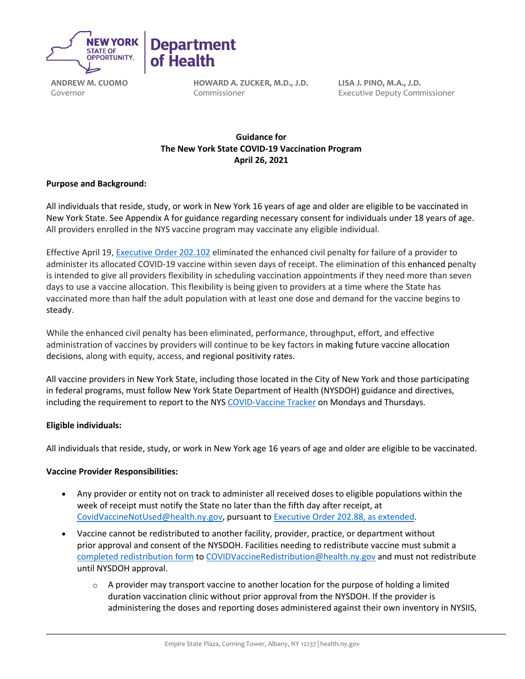

**ANDREW M. CUOMO** Governor

**HOWARD A. ZUCKER, M.D., J.D.** Commissioner

**LISA J. PINO, M.A., J.D.** Executive Deputy Commissioner

# **Guidance for   The New York State COVID-19 Vaccination Program April 26, 2021**

## **Purpose and Background:**

All individuals that reside, study, or work in New York 16 years of age and older are eligible to be vaccinated in New York State. See Appendix A for guidance regarding necessary consent for individuals under 18 years of age. All providers enrolled in the NYS vaccine program may vaccinate any eligible individual.

Effective April 19, [Executive Order 202.102](https://www.governor.ny.gov/news/no-202102-continuing-temporary-suspension-and-modification-laws-relating-disaster-emergency) eliminated the enhanced civil penalty for failure of a provider to administer its allocated COVID-19 vaccine within seven days of receipt. The elimination of this enhanced penalty is intended to give all providers flexibility in scheduling vaccination appointments if they need more than seven days to use a vaccine allocation. This flexibility is being given to providers at a time where the State has vaccinated more than half the adult population with at least one dose and demand for the vaccine begins to steady.

While the enhanced civil penalty has been eliminated, performance, throughput, effort, and effective administration of vaccines by providers will continue to be key factors in making future vaccine allocation decisions, along with equity, access, and regional positivity rates.

All vaccine providers in New York State, including those located in the City of New York and those participating in federal programs, must follow New York State Department of Health (NYSDOH) guidance and directives, including the requirement to report to the NY[S COVID-Vaccine Tracker](https://forms.ny.gov/s3/COVID-Vaccine-Tracker) on Mondays and Thursdays.

#### **Eligible individuals:**

All individuals that reside, study, or work in New York age 16 years of age and older are eligible to be vaccinated.

#### **Vaccine Provider Responsibilities:**

- Any provider or entity not on track to administer all received doses to eligible populations within the week of receipt must notify the State no later than the fifth day after receipt, at [CovidVaccineNotUsed@health.ny.gov,](mailto:CovidVaccineNotUsed@health.ny.gov) pursuant to [Executive Order 202.88,](https://www.governor.ny.gov/news/no-20288-continuing-temporary-suspension-and-modification-laws-relating-disaster-emergency) as extended.
- Vaccine cannot be redistributed to another facility, provider, practice, or department without prior approval and consent of the NYSDOH. Facilities needing to redistribute vaccine must submit a [completed redistribution form](https://coronavirus.health.ny.gov/system/files/documents/2021/03/vaccine-program-redistribution-combined-3.5.21-1958.pdf) t[o COVIDVaccineRedistribution@health.ny.gov](mailto:COVIDVaccineRedistribution@health.ny.gov) and must not redistribute until NYSDOH approval.
	- $\circ$  A provider may transport vaccine to another location for the purpose of holding a limited duration vaccination clinic without prior approval from the NYSDOH. If the provider is administering the doses and reporting doses administered against their own inventory in NYSIIS,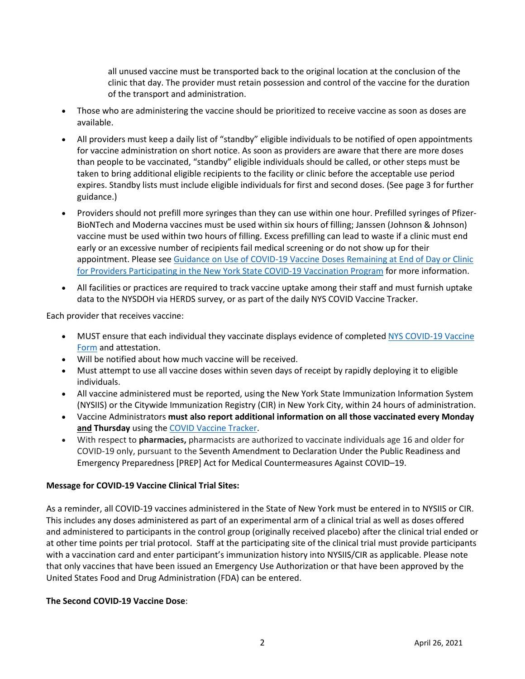all unused vaccine must be transported back to the original location at the conclusion of the clinic that day. The provider must retain possession and control of the vaccine for the duration of the transport and administration.

- Those who are administering the vaccine should be prioritized to receive vaccine as soon as doses are available.
- All providers must keep a daily list of "standby" eligible individuals to be notified of open appointments for vaccine administration on short notice. As soon as providers are aware that there are more doses than people to be vaccinated, "standby" eligible individuals should be called, or other steps must be taken to bring additional eligible recipients to the facility or clinic before the acceptable use period expires. Standby lists must include eligible individuals for first and second doses. (See page 3 for further guidance.)
- Providers should not prefill more syringes than they can use within one hour. Prefilled syringes of Pfizer-BioNTech and Moderna vaccines must be used within six hours of filling; Janssen (Johnson & Johnson) vaccine must be used within two hours of filling. Excess prefilling can lead to waste if a clinic must end early or an excessive number of recipients fail medical screening or do not show up for their appointment. Please see Guidance on Use of COVID-19 Vaccine Doses Remaining at End of Day or Clinic [for Providers Participating in the New York State COVID-19 Vaccination Program](https://coronavirus.health.ny.gov/system/files/documents/2021/01/guidance_about_to_expire_remaining_doses_of_covid_19_vaccine011321.pdf) for more information.
- All facilities or practices are required to track vaccine uptake among their staff and must furnish uptake data to the NYSDOH via HERDS survey, or as part of the daily NYS COVID Vaccine Tracker.

Each provider that receives vaccine: 

- MUST ensure that each individual they vaccinate displays evidence of completed NYS [COVID-19 Vaccine](https://forms.ny.gov/s3/vaccine)  [Form](https://forms.ny.gov/s3/vaccine) and attestation.
- Will be notified about how much vaccine will be received.
- Must attempt to use all vaccine doses within seven days of receipt by rapidly deploying it to eligible individuals.
- All vaccine administered must be reported, using the New York State Immunization Information System (NYSIIS) or the Citywide Immunization Registry (CIR) in New York City, within 24 hours of administration.
- Vaccine Administrators **must also report additional information on all those vaccinated every Monday and Thursday** using the [COVID Vaccine Tracker.](https://forms.ny.gov/s3/COVID-Vaccine-Tracker)
- With respect to **pharmacies,** pharmacists are authorized to vaccinate individuals age 16 and older for COVID-19 only, pursuant to the Seventh Amendment to Declaration Under the [Public Readiness and](https://www.phe.gov/Preparedness/legal/prepact/Pages/default.aspx)  [Emergency Preparedness \[PREP\] Act](https://www.phe.gov/Preparedness/legal/prepact/Pages/default.aspx) for Medical Countermeasures Against COVID–19.

#### **Message for COVID-19 Vaccine Clinical Trial Sites:**

As a reminder, all COVID-19 vaccines administered in the State of New York must be entered in to NYSIIS or CIR. This includes any doses administered as part of an experimental arm of a clinical trial as well as doses offered and administered to participants in the control group (originally received placebo) after the clinical trial ended or at other time points per trial protocol. Staff at the participating site of the clinical trial must provide participants with a vaccination card and enter participant's immunization history into NYSIIS/CIR as applicable. Please note that only vaccines that have been issued an Emergency Use Authorization or that have been approved by the United States Food and Drug Administration (FDA) can be entered.

#### **The Second COVID-19 Vaccine Dose**: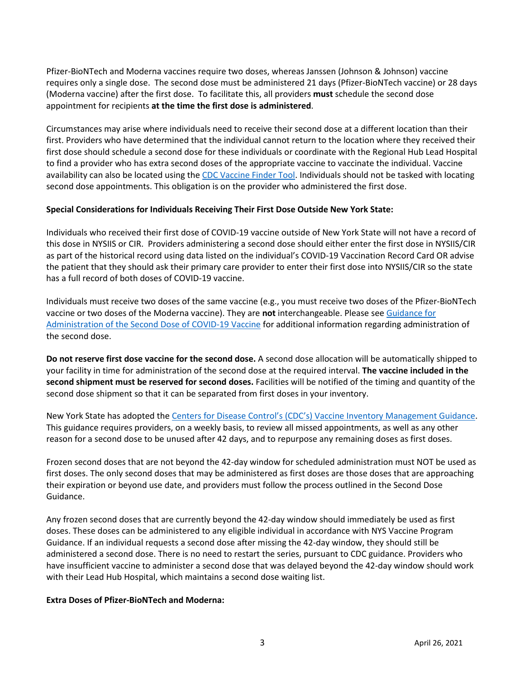Pfizer-BioNTech and Moderna vaccines require two doses, whereas Janssen (Johnson & Johnson) vaccine requires only a single dose. The second dose must be administered 21 days (Pfizer-BioNTech vaccine) or 28 days (Moderna vaccine) after the first dose. To facilitate this, all providers **must** schedule the second dose appointment for recipients **at the time the first dose is administered**.

Circumstances may arise where individuals need to receive their second dose at a different location than their first. Providers who have determined that the individual cannot return to the location where they received their first dose should schedule a second dose for these individuals or coordinate with the Regional Hub Lead Hospital to find a provider who has extra second doses of the appropriate vaccine to vaccinate the individual. Vaccine availability can also be located using the [CDC Vaccine Finder Tool](https://vaccinefinder.org/search/). Individuals should not be tasked with locating second dose appointments. This obligation is on the provider who administered the first dose.

#### **Special Considerations for Individuals Receiving Their First Dose Outside New York State:**

Individuals who received their first dose of COVID-19 vaccine outside of New York State will not have a record of this dose in NYSIIS or CIR. Providers administering a second dose should either enter the first dose in NYSIIS/CIR as part of the historical record using data listed on the individual's COVID-19 Vaccination Record Card OR advise the patient that they should ask their primary care provider to enter their first dose into NYSIIS/CIR so the state has a full record of both doses of COVID-19 vaccine.

Individuals must receive two doses of the same vaccine (e.g., you must receive two doses of the Pfizer-BioNTech vaccine or two doses of the Moderna vaccine). They are **not** interchangeable. Please se[e Guidance for](https://coronavirus.health.ny.gov/guidance-administration-second-dose)  [Administration of the Second Dose of COVID-19 Vaccine](https://coronavirus.health.ny.gov/guidance-administration-second-dose) for additional information regarding administration of the second dose.

**Do not reserve first dose vaccine for the second dose.**A second dose allocation will be automatically shipped to your facility in time for administration of the second dose at the required interval. **The vaccine included in the second shipment must be reserved for second doses.**Facilities will be notified of the timing and quantity of the second dose shipment so that it can be separated from first doses in your inventory.

New York State has adopted the [Centers for Disease Control's \(CDC's\) Vaccine Inventory Management Guidance.](https://www.cdc.gov/vaccines/covid-19/vaccine-inventory-management.html) This guidance requires providers, on a weekly basis, to review all missed appointments, as well as any other reason for a second dose to be unused after 42 days, and to repurpose any remaining doses as first doses.

Frozen second doses that are not beyond the 42-day window for scheduled administration must NOT be used as first doses. The only second doses that may be administered as first doses are those doses that are approaching their expiration or beyond use date, and providers must follow the process outlined in the Second Dose Guidance.

Any frozen second doses that are currently beyond the 42-day window should immediately be used as first doses. These doses can be administered to any eligible individual in accordance with NYS Vaccine Program Guidance. If an individual requests a second dose after missing the 42-day window, they should still be administered a second dose. There is no need to restart the series, pursuant to CDC guidance. Providers who have insufficient vaccine to administer a second dose that was delayed beyond the 42-day window should work with their Lead Hub Hospital, which maintains a second dose waiting list.

#### **Extra Doses of Pfizer-BioNTech and Moderna:**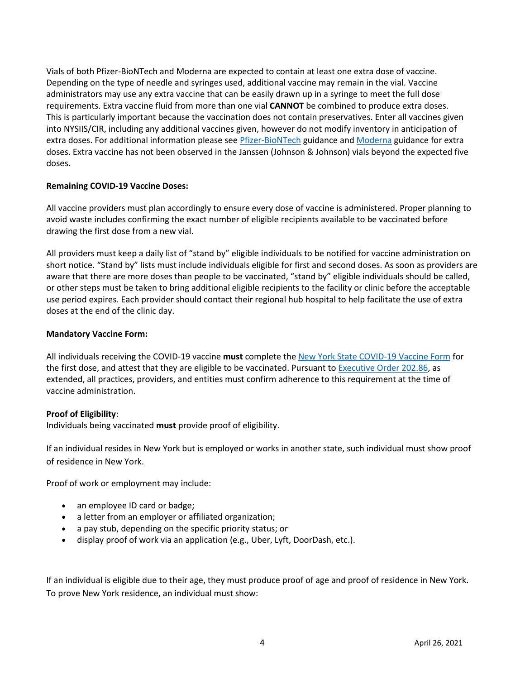Vials of both Pfizer-BioNTech and Moderna are expected to contain at least one extra dose of vaccine. Depending on the type of needle and syringes used, additional vaccine may remain in the vial. Vaccine administrators may use any extra vaccine that can be easily drawn up in a syringe to meet the full dose requirements. Extra vaccine fluid from more than one vial **CANNOT** be combined to produce extra doses. This is particularly important because the vaccination does not contain preservatives. Enter all vaccines given into NYSIIS/CIR, including any additional vaccines given, however do not modify inventory in anticipation of extra doses. For additional information please see *Pfizer-BioNTech* guidance and *Moderna* guidance for extra doses. Extra vaccine has not been observed in the Janssen (Johnson & Johnson) vials beyond the expected five doses.

#### **Remaining COVID-19 Vaccine Doses:**

All vaccine providers must plan accordingly to ensure every dose of vaccine is administered. Proper planning to avoid waste includes confirming the exact number of eligible recipients available to be vaccinated before drawing the first dose from a new vial.

All providers must keep a daily list of "stand by" eligible individuals to be notified for vaccine administration on short notice. "Stand by" lists must include individuals eligible for first and second doses. As soon as providers are aware that there are more doses than people to be vaccinated, "stand by" eligible individuals should be called, or other steps must be taken to bring additional eligible recipients to the facility or clinic before the acceptable use period expires. Each provider should contact their regional hub hospital to help facilitate the use of extra doses at the end of the clinic day.

#### **Mandatory Vaccine Form:**

All individuals receiving the COVID-19 vaccine **must** complete the [New York State COVID-](https://forms.ny.gov/s3/vaccine)19 Vaccine Form for the first dose, and attest that they are eligible to be vaccinated. Pursuant t[o Executive Order 202.86,](https://www.governor.ny.gov/news/no-20286-continuing-temporary-suspension-and-modification-laws-relating-disaster-emergency) as extended, all practices, providers, and entities must confirm adherence to this requirement at the time of vaccine administration.

#### **Proof of Eligibility**:

Individuals being vaccinated **must** provide proof of eligibility.

If an individual resides in New York but is employed or works in another state, such individual must show proof of residence in New York.

Proof of work or employment may include:

- an employee ID card or badge;
- a letter from an employer or affiliated organization;
- a pay stub, depending on the specific priority status; or
- display proof of work via an application (e.g., Uber, Lyft, DoorDash, etc.).

If an individual is eligible due to their age, they must produce proof of age and proof of residence in New York. To prove New York residence, an individual must show: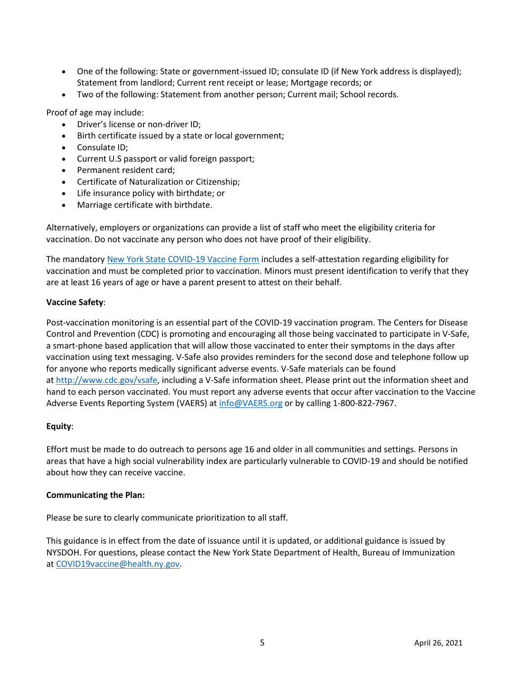- One of the following: State or government-issued ID; consulate ID (if New York address is displayed); Statement from landlord; Current rent receipt or lease; Mortgage records; or
- Two of the following: Statement from another person; Current mail; School records.

Proof of age may include:

- Driver's license or non-driver ID;
- Birth certificate issued by a state or local government;
- Consulate ID;
- Current U.S passport or valid foreign passport;
- Permanent resident card;
- Certificate of Naturalization or Citizenship;
- Life insurance policy with birthdate; or
- Marriage certificate with birthdate.

Alternatively, employers or organizations can provide a list of staff who meet the eligibility criteria for vaccination. Do not vaccinate any person who does not have proof of their eligibility.

The mandatory [New York State COVID-](https://forms.ny.gov/s3/vaccine)19 Vaccine Form includes a self-attestation regarding eligibility for vaccination and must be completed prior to vaccination. Minors must present identification to verify that they are at least 16 years of age or have a parent present to attest on their behalf.

#### **Vaccine Safety**:

Post-vaccination monitoring is an essential part of the COVID-19 vaccination program. The Centers for Disease Control and Prevention (CDC) is promoting and encouraging all those being vaccinated to participate in V-Safe, a smart-phone based application that will allow those vaccinated to enter their symptoms in the days after vaccination using text messaging. V-Safe also provides reminders for the second dose and telephone follow up for anyone who reports medically significant adverse events. V-Safe materials can be found at [http://www.cdc.gov/vsafe,](http://www.cdc.gov/vsafe) including a V-Safe information sheet. Please print out the information sheet and hand to each person vaccinated. You must report any adverse events that occur after vaccination to the Vaccine Adverse Events Reporting System (VAERS) a[t info@VAERS.org](mailto:info@VAERS.org) or by calling 1-800-822-7967.

#### **Equity**:

Effort must be made to do outreach to persons age 16 and older in all communities and settings. Persons in areas that have a high social vulnerability index are particularly vulnerable to COVID-19 and should be notified about how they can receive vaccine.

#### **Communicating the Plan:**

Please be sure to clearly communicate prioritization to all staff.  

This guidance is in effect from the date of issuance until it is updated, or additional guidance is issued by NYSDOH. For questions, please contact the New York State Department of Health, Bureau of Immunization at [COVID19vaccine@health.ny.gov.](mailto:COVID19vaccine@health.ny.gov)